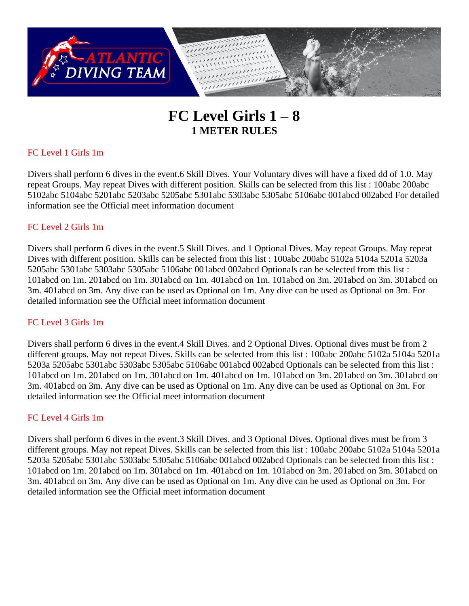

# **FC Level Girls 1 – 8 1 METER RULES**

## FC Level 1 Girls 1m

Divers shall perform 6 dives in the event.6 Skill Dives. Your Voluntary dives will have a fixed dd of 1.0. May repeat Groups. May repeat Dives with different position. Skills can be selected from this list : 100abc 200abc 5102abc 5104abc 5201abc 5203abc 5205abc 5301abc 5303abc 5305abc 5106abc 001abcd 002abcd For detailed information see the Official meet information document

### FC Level 2 Girls 1m

Divers shall perform 6 dives in the event.5 Skill Dives. and 1 Optional Dives. May repeat Groups. May repeat Dives with different position. Skills can be selected from this list : 100abc 200abc 5102a 5104a 5201a 5203a 5205abc 5301abc 5303abc 5305abc 5106abc 001abcd 002abcd Optionals can be selected from this list : 101abcd on 1m. 201abcd on 1m. 301abcd on 1m. 401abcd on 1m. 101abcd on 3m. 201abcd on 3m. 301abcd on 3m. 401abcd on 3m. Any dive can be used as Optional on 1m. Any dive can be used as Optional on 3m. For detailed information see the Official meet information document

### FC Level 3 Girls 1m

Divers shall perform 6 dives in the event.4 Skill Dives. and 2 Optional Dives. Optional dives must be from 2 different groups. May not repeat Dives. Skills can be selected from this list : 100abc 200abc 5102a 5104a 5201a 5203a 5205abc 5301abc 5303abc 5305abc 5106abc 001abcd 002abcd Optionals can be selected from this list : 101abcd on 1m. 201abcd on 1m. 301abcd on 1m. 401abcd on 1m. 101abcd on 3m. 201abcd on 3m. 301abcd on 3m. 401abcd on 3m. Any dive can be used as Optional on 1m. Any dive can be used as Optional on 3m. For detailed information see the Official meet information document

### FC Level 4 Girls 1m

Divers shall perform 6 dives in the event.3 Skill Dives. and 3 Optional Dives. Optional dives must be from 3 different groups. May not repeat Dives. Skills can be selected from this list : 100abc 200abc 5102a 5104a 5201a 5203a 5205abc 5301abc 5303abc 5305abc 5106abc 001abcd 002abcd Optionals can be selected from this list : 101abcd on 1m. 201abcd on 1m. 301abcd on 1m. 401abcd on 1m. 101abcd on 3m. 201abcd on 3m. 301abcd on 3m. 401abcd on 3m. Any dive can be used as Optional on 1m. Any dive can be used as Optional on 3m. For detailed information see the Official meet information document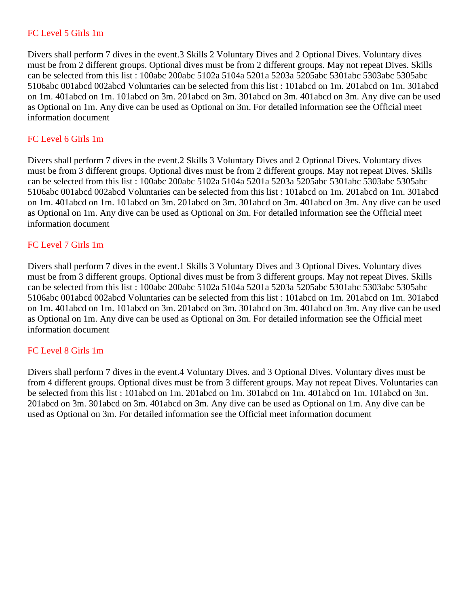### FC Level 5 Girls 1m

Divers shall perform 7 dives in the event.3 Skills 2 Voluntary Dives and 2 Optional Dives. Voluntary dives must be from 2 different groups. Optional dives must be from 2 different groups. May not repeat Dives. Skills can be selected from this list : 100abc 200abc 5102a 5104a 5201a 5203a 5205abc 5301abc 5303abc 5305abc 5106abc 001abcd 002abcd Voluntaries can be selected from this list : 101abcd on 1m. 201abcd on 1m. 301abcd on 1m. 401abcd on 1m. 101abcd on 3m. 201abcd on 3m. 301abcd on 3m. 401abcd on 3m. Any dive can be used as Optional on 1m. Any dive can be used as Optional on 3m. For detailed information see the Official meet information document

### FC Level 6 Girls 1m

Divers shall perform 7 dives in the event.2 Skills 3 Voluntary Dives and 2 Optional Dives. Voluntary dives must be from 3 different groups. Optional dives must be from 2 different groups. May not repeat Dives. Skills can be selected from this list : 100abc 200abc 5102a 5104a 5201a 5203a 5205abc 5301abc 5303abc 5305abc 5106abc 001abcd 002abcd Voluntaries can be selected from this list : 101abcd on 1m. 201abcd on 1m. 301abcd on 1m. 401abcd on 1m. 101abcd on 3m. 201abcd on 3m. 301abcd on 3m. 401abcd on 3m. Any dive can be used as Optional on 1m. Any dive can be used as Optional on 3m. For detailed information see the Official meet information document

### FC Level 7 Girls 1m

Divers shall perform 7 dives in the event.1 Skills 3 Voluntary Dives and 3 Optional Dives. Voluntary dives must be from 3 different groups. Optional dives must be from 3 different groups. May not repeat Dives. Skills can be selected from this list : 100abc 200abc 5102a 5104a 5201a 5203a 5205abc 5301abc 5303abc 5305abc 5106abc 001abcd 002abcd Voluntaries can be selected from this list : 101abcd on 1m. 201abcd on 1m. 301abcd on 1m. 401abcd on 1m. 101abcd on 3m. 201abcd on 3m. 301abcd on 3m. 401abcd on 3m. Any dive can be used as Optional on 1m. Any dive can be used as Optional on 3m. For detailed information see the Official meet information document

### FC Level 8 Girls 1m

Divers shall perform 7 dives in the event.4 Voluntary Dives. and 3 Optional Dives. Voluntary dives must be from 4 different groups. Optional dives must be from 3 different groups. May not repeat Dives. Voluntaries can be selected from this list : 101abcd on 1m. 201abcd on 1m. 301abcd on 1m. 401abcd on 1m. 101abcd on 3m. 201abcd on 3m. 301abcd on 3m. 401abcd on 3m. Any dive can be used as Optional on 1m. Any dive can be used as Optional on 3m. For detailed information see the Official meet information document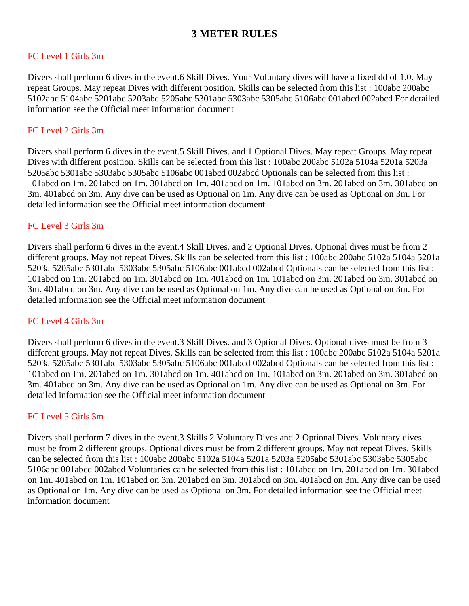# **3 METER RULES**

### FC Level 1 Girls 3m

Divers shall perform 6 dives in the event.6 Skill Dives. Your Voluntary dives will have a fixed dd of 1.0. May repeat Groups. May repeat Dives with different position. Skills can be selected from this list : 100abc 200abc 5102abc 5104abc 5201abc 5203abc 5205abc 5301abc 5303abc 5305abc 5106abc 001abcd 002abcd For detailed information see the Official meet information document

### FC Level 2 Girls 3m

Divers shall perform 6 dives in the event.5 Skill Dives. and 1 Optional Dives. May repeat Groups. May repeat Dives with different position. Skills can be selected from this list : 100abc 200abc 5102a 5104a 5201a 5203a 5205abc 5301abc 5303abc 5305abc 5106abc 001abcd 002abcd Optionals can be selected from this list : 101abcd on 1m. 201abcd on 1m. 301abcd on 1m. 401abcd on 1m. 101abcd on 3m. 201abcd on 3m. 301abcd on 3m. 401abcd on 3m. Any dive can be used as Optional on 1m. Any dive can be used as Optional on 3m. For detailed information see the Official meet information document

### FC Level 3 Girls 3m

Divers shall perform 6 dives in the event.4 Skill Dives. and 2 Optional Dives. Optional dives must be from 2 different groups. May not repeat Dives. Skills can be selected from this list : 100abc 200abc 5102a 5104a 5201a 5203a 5205abc 5301abc 5303abc 5305abc 5106abc 001abcd 002abcd Optionals can be selected from this list : 101abcd on 1m. 201abcd on 1m. 301abcd on 1m. 401abcd on 1m. 101abcd on 3m. 201abcd on 3m. 301abcd on 3m. 401abcd on 3m. Any dive can be used as Optional on 1m. Any dive can be used as Optional on 3m. For detailed information see the Official meet information document

### FC Level 4 Girls 3m

Divers shall perform 6 dives in the event.3 Skill Dives. and 3 Optional Dives. Optional dives must be from 3 different groups. May not repeat Dives. Skills can be selected from this list : 100abc 200abc 5102a 5104a 5201a 5203a 5205abc 5301abc 5303abc 5305abc 5106abc 001abcd 002abcd Optionals can be selected from this list : 101abcd on 1m. 201abcd on 1m. 301abcd on 1m. 401abcd on 1m. 101abcd on 3m. 201abcd on 3m. 301abcd on 3m. 401abcd on 3m. Any dive can be used as Optional on 1m. Any dive can be used as Optional on 3m. For detailed information see the Official meet information document

### FC Level 5 Girls 3m

Divers shall perform 7 dives in the event.3 Skills 2 Voluntary Dives and 2 Optional Dives. Voluntary dives must be from 2 different groups. Optional dives must be from 2 different groups. May not repeat Dives. Skills can be selected from this list : 100abc 200abc 5102a 5104a 5201a 5203a 5205abc 5301abc 5303abc 5305abc 5106abc 001abcd 002abcd Voluntaries can be selected from this list : 101abcd on 1m. 201abcd on 1m. 301abcd on 1m. 401abcd on 1m. 101abcd on 3m. 201abcd on 3m. 301abcd on 3m. 401abcd on 3m. Any dive can be used as Optional on 1m. Any dive can be used as Optional on 3m. For detailed information see the Official meet information document